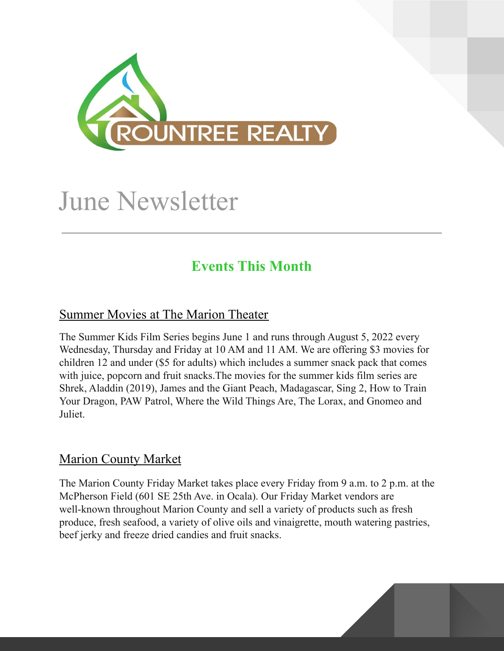

# June Newsletter

## **Events This Month**

#### Summer Movies at The Marion Theater

The Summer Kids Film Series begins June 1 and runs through August 5, 2022 every Wednesday, Thursday and Friday at 10 AM and 11 AM. We are offering \$3 movies for children 12 and under (\$5 for adults) which includes a summer snack pack that comes with juice, popcorn and fruit snacks. The movies for the summer kids film series are Shrek, Aladdin (2019), James and the Giant Peach, Madagascar, Sing 2, How to Train Your Dragon, PAW Patrol, Where the Wild Things Are, The Lorax, and Gnomeo and Juliet.

#### Marion County Market

The Marion County Friday Market takes place every Friday from 9 a.m. to 2 p.m. at the McPherson Field (601 SE 25th Ave. in Ocala). Our Friday Market vendors are well-known throughout Marion County and sell a variety of products such as fresh produce, fresh seafood, a variety of olive oils and vinaigrette, mouth watering pastries, beef jerky and freeze dried candies and fruit snacks.

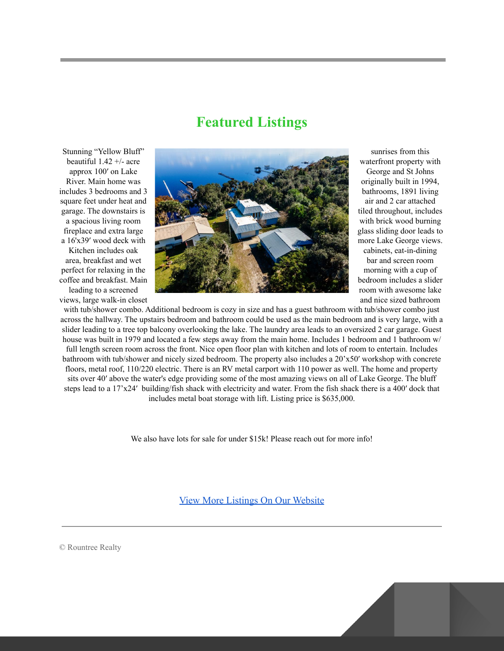#### **Featured Listings**



with tub/shower combo. Additional bedroom is cozy in size and has a guest bathroom with tub/shower combo just across the hallway. The upstairs bedroom and bathroom could be used as the main bedroom and is very large, with a slider leading to a tree top balcony overlooking the lake. The laundry area leads to an oversized 2 car garage. Guest house was built in 1979 and located a few steps away from the main home. Includes 1 bedroom and 1 bathroom w/ full length screen room across the front. Nice open floor plan with kitchen and lots of room to entertain. Includes bathroom with tub/shower and nicely sized bedroom. The property also includes a 20'x50′ workshop with concrete floors, metal roof, 110/220 electric. There is an RV metal carport with 110 power as well. The home and property sits over 40′ above the water's edge providing some of the most amazing views on all of Lake George. The bluff steps lead to a 17'x24′ building/fish shack with electricity and water. From the fish shack there is a 400′ dock that includes metal boat storage with lift. Listing price is \$635,000.

We also have lots for sale for under \$15k! Please reach out for more info!

[View More Listings On Our Website](https://homesforsaleocalamarion.com/featured-listings/)

© Rountree Realty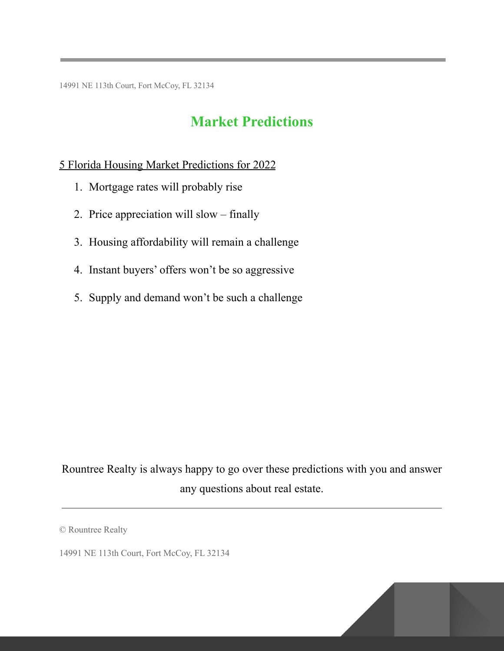14991 NE 113th Court, Fort McCoy, FL 32134

### **Market Predictions**

5 Florida Housing Market Predictions for 2022

- 1. Mortgage rates will probably rise
- 2. Price appreciation will slow finally
- 3. Housing affordability will remain a challenge
- 4. Instant buyers' offers won't be so aggressive
- 5. Supply and demand won't be such a challenge

Rountree Realty is always happy to go over these predictions with you and answer any questions about real estate.

© Rountree Realty

14991 NE 113th Court, Fort McCoy, FL 32134